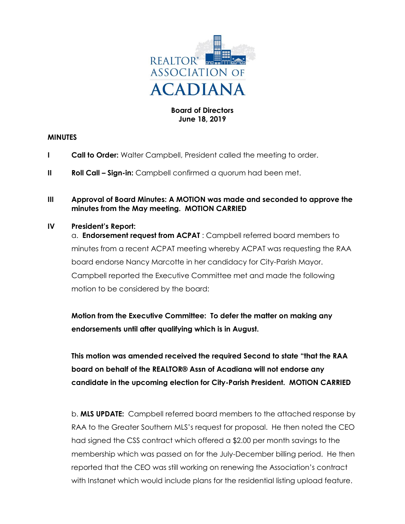

## **Board of Directors June 18, 2019**

#### **MINUTES**

- **I Call to Order:** Walter Campbell, President called the meeting to order.
- **II Roll Call Sign-in:** Campbell confirmed a quorum had been met.
- **III Approval of Board Minutes: A MOTION was made and seconded to approve the minutes from the May meeting. MOTION CARRIED**

## **IV President's Report:**

a. **Endorsement request from ACPAT** : Campbell referred board members to minutes from a recent ACPAT meeting whereby ACPAT was requesting the RAA board endorse Nancy Marcotte in her candidacy for City-Parish Mayor. Campbell reported the Executive Committee met and made the following motion to be considered by the board:

**Motion from the Executive Committee: To defer the matter on making any endorsements until after qualifying which is in August.**

**This motion was amended received the required Second to state "that the RAA board on behalf of the REALTOR® Assn of Acadiana will not endorse any candidate in the upcoming election for City-Parish President. MOTION CARRIED**

b. **MLS UPDATE:** Campbell referred board members to the attached response by RAA to the Greater Southern MLS's request for proposal. He then noted the CEO had signed the CSS contract which offered a \$2.00 per month savings to the membership which was passed on for the July-December billing period. He then reported that the CEO was still working on renewing the Association's contract with Instanet which would include plans for the residential listing upload feature.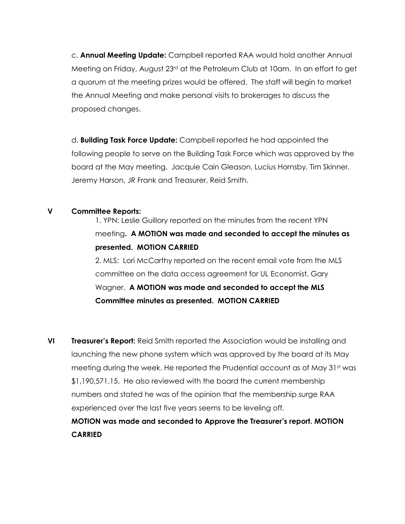c. **Annual Meeting Update:** Campbell reported RAA would hold another Annual Meeting on Friday, August 23rd at the Petroleum Club at 10am. In an effort to get a quorum at the meeting prizes would be offered. The staff will begin to market the Annual Meeting and make personal visits to brokerages to discuss the proposed changes.

d. **Building Task Force Update:** Campbell reported he had appointed the following people to serve on the Building Task Force which was approved by the board at the May meeting. Jacquie Cain Gleason, Lucius Hornsby, Tim Skinner, Jeremy Harson, JR Frank and Treasurer, Reid Smith.

## **V Committee Reports:**

1. YPN: Leslie Guillory reported on the minutes from the recent YPN meeting**. A MOTION was made and seconded to accept the minutes as presented. MOTION CARRIED**

2. MLS: Lori McCarthy reported on the recent email vote from the MLS committee on the data access agreement for UL Economist, Gary Wagner. **A MOTION was made and seconded to accept the MLS Committee minutes as presented. MOTION CARRIED**

**VI Treasurer's Report:** Reid Smith reported the Association would be installing and launching the new phone system which was approved by the board at its May meeting during the week. He reported the Prudential account as of May 31st was \$1,190,571.15. He also reviewed with the board the current membership numbers and stated he was of the opinion that the membership surge RAA experienced over the last five years seems to be leveling off.

**MOTION was made and seconded to Approve the Treasurer's report. MOTION CARRIED**